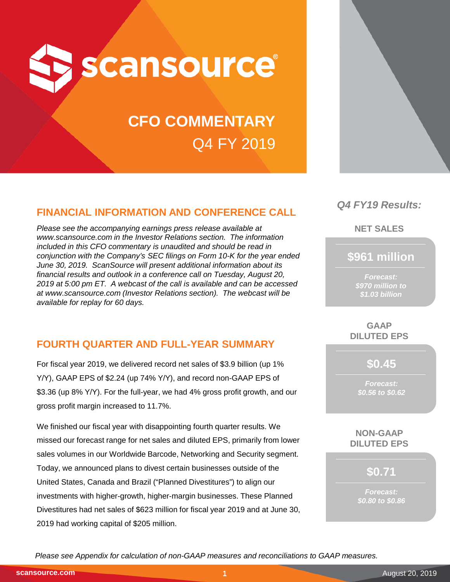

# **CFO COMMENTARY** Q4 FY 2019

# **FINANCIAL INFORMATION AND CONFERENCE CALL**

*Please see the accompanying earnings press release available at www.scansource.com in the Investor Relations section. The information included in this CFO commentary is unaudited and should be read in conjunction with the Company's SEC filings on Form 10-K for the year ended June 30, 2019. ScanSource will present additional information about its financial results and outlook in a conference call on Tuesday, August 20, 2019 at 5:00 pm ET. A webcast of the call is available and can be accessed at www.scansource.com (Investor Relations section). The webcast will be available for replay for 60 days.*

# **FOURTH QUARTER AND FULL-YEAR SUMMARY**

For fiscal year 2019, we delivered record net sales of \$3.9 billion (up 1% Y/Y), GAAP EPS of \$2.24 (up 74% Y/Y), and record non-GAAP EPS of \$3.36 (up 8% Y/Y). For the full-year, we had 4% gross profit growth, and our gross profit margin increased to 11.7%.

We finished our fiscal year with disappointing fourth quarter results. We missed our forecast range for net sales and diluted EPS, primarily from lower sales volumes in our Worldwide Barcode, Networking and Security segment. Today, we announced plans to divest certain businesses outside of the United States, Canada and Brazil ("Planned Divestitures") to align our investments with higher-growth, higher-margin businesses. These Planned Divestitures had net sales of \$623 million for fiscal year 2019 and at June 30, 2019 had working capital of \$205 million.

# *Q4 FY19 Results:*

**NET SALES**

# **\$961 million**

*Forecast: \$970 million to \$1.03 billion*

## **GAAP DILUTED EPS**

**\$0.45**

*Forecast: \$0.56 to \$0.62*

#### **NON-GAAP DILUTED EPS**

**\$0.71**

*Forecast: \$0.80 to \$0.86*

*Please see Appendix for calculation of non-GAAP measures and reconciliations to GAAP measures.*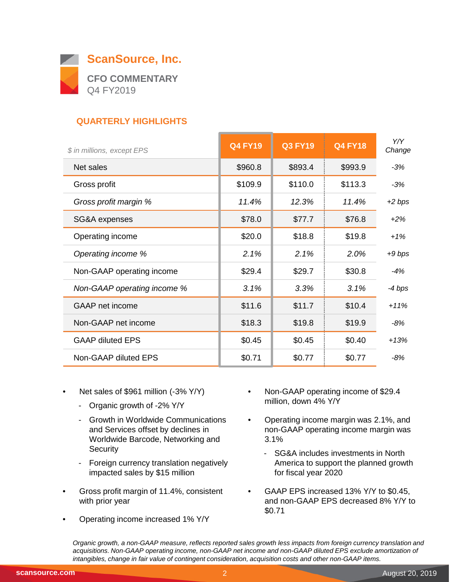

# **QUARTERLY HIGHLIGHTS**

| $-3%$<br>$-3%$ |
|----------------|
|                |
|                |
| $+2$ bps       |
| $+2\%$         |
| $+1%$          |
| $+9$ bps       |
| -4%            |
| -4 bps         |
| $+11%$         |
| -8%            |
| $+13%$         |
| $-8%$          |
|                |

- Net sales of \$961 million (-3% Y/Y)
	- Organic growth of -2% Y/Y
	- Growth in Worldwide Communications and Services offset by declines in Worldwide Barcode, Networking and **Security**
	- Foreign currency translation negatively impacted sales by \$15 million
- Gross profit margin of 11.4%, consistent with prior year
- Operating income increased 1% Y/Y
- Non-GAAP operating income of \$29.4 million, down 4% Y/Y
- Operating income margin was 2.1%, and non-GAAP operating income margin was 3.1%
	- SG&A includes investments in North America to support the planned growth for fiscal year 2020
- GAAP EPS increased 13% Y/Y to \$0.45, and non-GAAP EPS decreased 8% Y/Y to \$0.71

*Organic growth, a non-GAAP measure, reflects reported sales growth less impacts from foreign currency translation and acquisitions. Non-GAAP operating income, non-GAAP net income and non-GAAP diluted EPS exclude amortization of intangibles, change in fair value of contingent consideration, acquisition costs and other non-GAAP items.*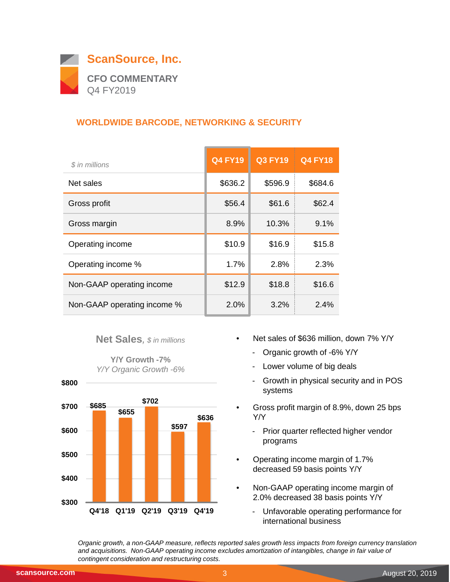

# **WORLDWIDE BARCODE, NETWORKING & SECURITY**

| \$ in millions              | <b>Q4 FY19</b> | <b>Q3 FY19</b> | <b>Q4 FY18</b> |
|-----------------------------|----------------|----------------|----------------|
| Net sales                   | \$636.2        | \$596.9        | \$684.6        |
| Gross profit                | \$56.4         | \$61.6         | \$62.4         |
| Gross margin                | 8.9%           | 10.3%          | 9.1%           |
| Operating income            | \$10.9         | \$16.9         | \$15.8         |
| Operating income %          | 1.7%           | 2.8%           | 2.3%           |
| Non-GAAP operating income   | \$12.9         | \$18.8         | \$16.6         |
| Non-GAAP operating income % | 2.0%           | 3.2%           | 2.4%           |

## **Net Sales***, \$ in millions*

**Y/Y Growth -7%** *Y/Y Organic Growth -6%*



- Net sales of \$636 million, down 7% Y/Y
	- Organic growth of -6% Y/Y
	- Lower volume of big deals
	- Growth in physical security and in POS systems
- Gross profit margin of 8.9%, down 25 bps Y/Y
	- Prior quarter reflected higher vendor programs
- Operating income margin of 1.7% decreased 59 basis points Y/Y
- Non-GAAP operating income margin of 2.0% decreased 38 basis points Y/Y
	- Unfavorable operating performance for international business

*Organic growth, a non-GAAP measure, reflects reported sales growth less impacts from foreign currency translation and acquisitions. Non-GAAP operating income excludes amortization of intangibles, change in fair value of contingent consideration and restructuring costs.*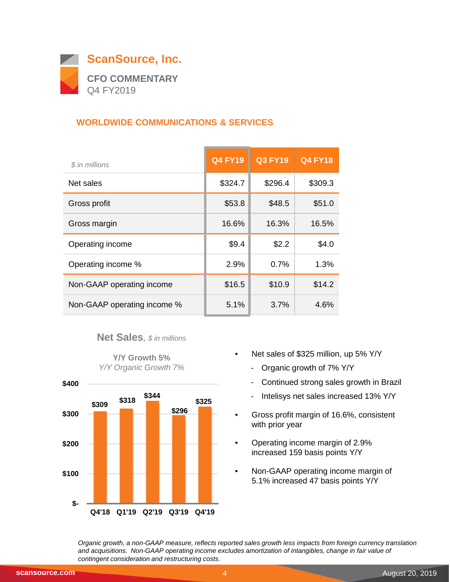

# **WORLDWIDE COMMUNICATIONS & SERVICES**

| \$ in millions              | <b>Q4 FY19</b> | <b>Q3 FY19</b> | <b>Q4 FY18</b> |
|-----------------------------|----------------|----------------|----------------|
| Net sales                   | \$324.7        | \$296.4        | \$309.3        |
| Gross profit                | \$53.8         | \$48.5         | \$51.0         |
| Gross margin                | 16.6%          | 16.3%          | 16.5%          |
| Operating income            | \$9.4          | \$2.2          | \$4.0          |
| Operating income %          | 2.9%           | 0.7%           | 1.3%           |
| Non-GAAP operating income   | \$16.5         | \$10.9         | \$14.2         |
| Non-GAAP operating income % | 5.1%           | 3.7%           | 4.6%           |

## **Net Sales***, \$ in millions*





- Net sales of \$325 million, up 5% Y/Y
	- Organic growth of 7% Y/Y
	- Continued strong sales growth in Brazil
	- Intelisys net sales increased 13% Y/Y
- Gross profit margin of 16.6%, consistent with prior year
- Operating income margin of 2.9% increased 159 basis points Y/Y
- Non-GAAP operating income margin of 5.1% increased 47 basis points Y/Y

*Organic growth, a non-GAAP measure, reflects reported sales growth less impacts from foreign currency translation and acquisitions. Non-GAAP operating income excludes amortization of intangibles, change in fair value of contingent consideration and restructuring costs.*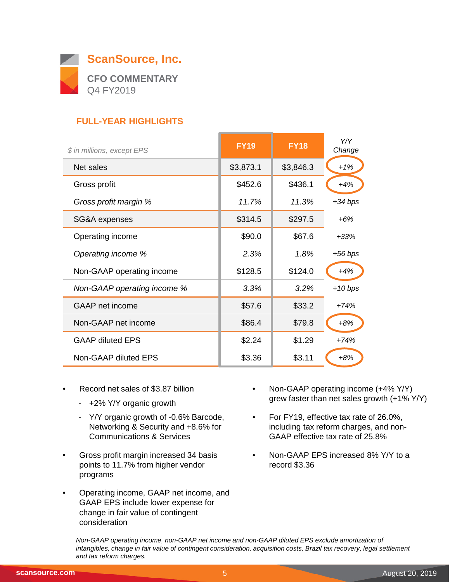

# **FULL-YEAR HIGHLIGHTS**

| \$ in millions, except EPS  | <b>FY19</b> | <b>FY18</b> | Y/Y<br>Change |
|-----------------------------|-------------|-------------|---------------|
| Net sales                   | \$3,873.1   | \$3,846.3   | $+1%$         |
| Gross profit                | \$452.6     | \$436.1     | $+4%$         |
| Gross profit margin %       | 11.7%       | 11.3%       | $+34$ bps     |
| SG&A expenses               | \$314.5     | \$297.5     | $+6%$         |
| Operating income            | \$90.0      | \$67.6      | $+33%$        |
| Operating income %          | 2.3%        | 1.8%        | $+56 bps$     |
| Non-GAAP operating income   | \$128.5     | \$124.0     | $+4%$         |
| Non-GAAP operating income % | 3.3%        | 3.2%        | $+10$ bps     |
| <b>GAAP</b> net income      | \$57.6      | \$33.2      | $+74%$        |
| Non-GAAP net income         | \$86.4      | \$79.8      | $+8%$         |
| <b>GAAP diluted EPS</b>     | \$2.24      | \$1.29      | $+74%$        |
| Non-GAAP diluted EPS        | \$3.36      | \$3.11      | $+8%$         |

- Record net sales of \$3.87 billion
	- +2% Y/Y organic growth
	- Y/Y organic growth of -0.6% Barcode, Networking & Security and +8.6% for Communications & Services
- Gross profit margin increased 34 basis points to 11.7% from higher vendor programs
- Operating income, GAAP net income, and GAAP EPS include lower expense for change in fair value of contingent consideration
- Non-GAAP operating income (+4% Y/Y) grew faster than net sales growth (+1% Y/Y)
- For FY19, effective tax rate of 26.0%, including tax reform charges, and non-GAAP effective tax rate of 25.8%
- Non-GAAP EPS increased 8% Y/Y to a record \$3.36

*Non-GAAP operating income, non-GAAP net income and non-GAAP diluted EPS exclude amortization of intangibles, change in fair value of contingent consideration, acquisition costs, Brazil tax recovery, legal settlement and tax reform charges.*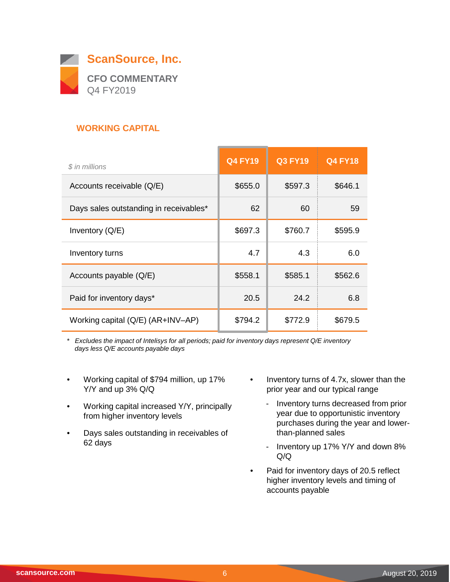

# **WORKING CAPITAL**

| \$ in millions                         | <b>Q4 FY19</b> | <b>Q3 FY19</b> | <b>Q4 FY18</b> |
|----------------------------------------|----------------|----------------|----------------|
| Accounts receivable (Q/E)              | \$655.0        | \$597.3        | \$646.1        |
| Days sales outstanding in receivables* | 62             | 60             | 59             |
| Inventory $(Q/E)$                      | \$697.3        | \$760.7        | \$595.9        |
| Inventory turns                        | 4.7            | 4.3            | 6.0            |
| Accounts payable (Q/E)                 | \$558.1        | \$585.1        | \$562.6        |
| Paid for inventory days*               | 20.5           | 24.2           | 6.8            |
| Working capital (Q/E) (AR+INV-AP)      | \$794.2        | \$772.9        | \$679.5        |

*\* Excludes the impact of Intelisys for all periods; paid for inventory days represent Q/E inventory days less Q/E accounts payable days*

- Working capital of \$794 million, up 17% Y/Y and up 3% Q/Q
- Working capital increased Y/Y, principally from higher inventory levels
- Days sales outstanding in receivables of 62 days
- Inventory turns of 4.7x, slower than the prior year and our typical range
	- Inventory turns decreased from prior year due to opportunistic inventory purchases during the year and lowerthan-planned sales
	- Inventory up 17% Y/Y and down 8% Q/Q
- Paid for inventory days of 20.5 reflect higher inventory levels and timing of accounts payable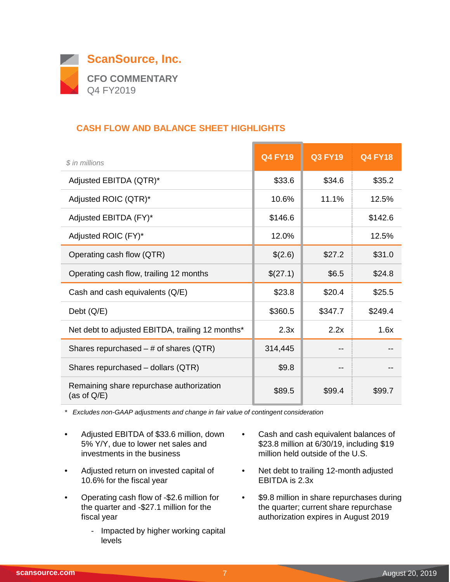

## **CASH FLOW AND BALANCE SHEET HIGHLIGHTS**

| \$ in millions                                             | <b>Q4 FY19</b> | <b>Q3 FY19</b> | <b>Q4 FY18</b> |
|------------------------------------------------------------|----------------|----------------|----------------|
| Adjusted EBITDA (QTR)*                                     | \$33.6         | \$34.6         | \$35.2         |
| Adjusted ROIC (QTR)*                                       | 10.6%          | 11.1%          | 12.5%          |
| Adjusted EBITDA (FY)*                                      | \$146.6        |                | \$142.6        |
| Adjusted ROIC (FY)*                                        | 12.0%          |                | 12.5%          |
| Operating cash flow (QTR)                                  | \$(2.6)        | \$27.2         | \$31.0         |
| Operating cash flow, trailing 12 months                    | \$(27.1)       | \$6.5          | \$24.8         |
| Cash and cash equivalents (Q/E)                            | \$23.8         | \$20.4         | \$25.5         |
| Debt $(Q/E)$                                               | \$360.5        | \$347.7        | \$249.4        |
| Net debt to adjusted EBITDA, trailing 12 months*           | 2.3x           | 2.2x           | 1.6x           |
| Shares repurchased $-$ # of shares (QTR)                   | 314,445        | --             |                |
| Shares repurchased - dollars (QTR)                         | \$9.8          | --             |                |
| Remaining share repurchase authorization<br>(as of $Q/E$ ) | \$89.5         | \$99.4         | \$99.7         |

*\* Excludes non-GAAP adjustments and change in fair value of contingent consideration*

- Adjusted EBITDA of \$33.6 million, down 5% Y/Y, due to lower net sales and investments in the business
- Adjusted return on invested capital of 10.6% for the fiscal year
- Operating cash flow of -\$2.6 million for the quarter and -\$27.1 million for the fiscal year
	- Impacted by higher working capital levels
- Cash and cash equivalent balances of \$23.8 million at 6/30/19, including \$19 million held outside of the U.S.
- Net debt to trailing 12-month adjusted EBITDA is 2.3x
- \$9.8 million in share repurchases during the quarter; current share repurchase authorization expires in August 2019

 $\overline{\phantom{0}}$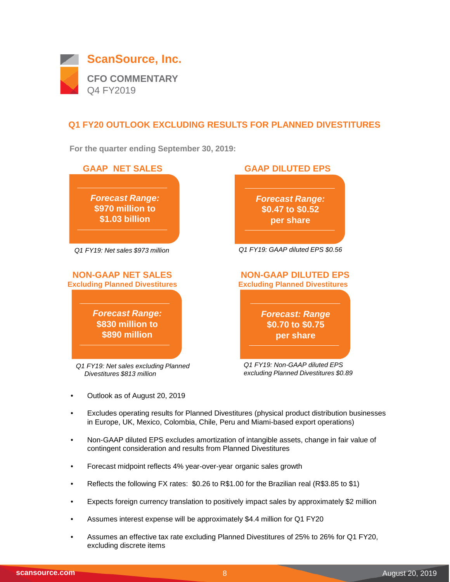

## **Q1 FY20 OUTLOOK EXCLUDING RESULTS FOR PLANNED DIVESTITURES**

**For the quarter ending September 30, 2019:**



- Outlook as of August 20, 2019
- Excludes operating results for Planned Divestitures (physical product distribution businesses in Europe, UK, Mexico, Colombia, Chile, Peru and Miami-based export operations)
- Non-GAAP diluted EPS excludes amortization of intangible assets, change in fair value of contingent consideration and results from Planned Divestitures
- Forecast midpoint reflects 4% year-over-year organic sales growth
- Reflects the following FX rates: \$0.26 to R\$1.00 for the Brazilian real (R\$3.85 to \$1)
- Expects foreign currency translation to positively impact sales by approximately \$2 million
- Assumes interest expense will be approximately \$4.4 million for Q1 FY20
- Assumes an effective tax rate excluding Planned Divestitures of 25% to 26% for Q1 FY20, excluding discrete items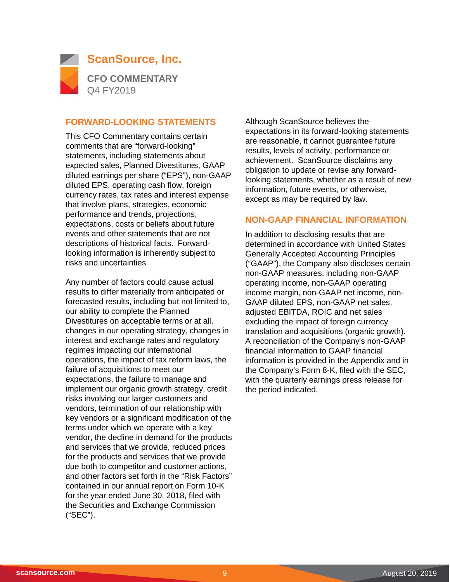

#### **FORWARD-LOOKING STATEMENTS**

This CFO Commentary contains certain comments that are "forward-looking" statements, including statements about expected sales, Planned Divestitures, GAAP diluted earnings per share ("EPS"), non-GAAP diluted EPS, operating cash flow, foreign currency rates, tax rates and interest expense that involve plans, strategies, economic performance and trends, projections, expectations, costs or beliefs about future events and other statements that are not descriptions of historical facts. Forwardlooking information is inherently subject to risks and uncertainties.

Any number of factors could cause actual results to differ materially from anticipated or forecasted results, including but not limited to, our ability to complete the Planned Divestitures on acceptable terms or at all, changes in our operating strategy, changes in interest and exchange rates and regulatory regimes impacting our international operations, the impact of tax reform laws, the failure of acquisitions to meet our expectations, the failure to manage and implement our organic growth strategy, credit risks involving our larger customers and vendors, termination of our relationship with key vendors or a significant modification of the terms under which we operate with a key vendor, the decline in demand for the products and services that we provide, reduced prices for the products and services that we provide due both to competitor and customer actions, and other factors set forth in the "Risk Factors" contained in our annual report on Form 10-K for the year ended June 30, 2018, filed with the Securities and Exchange Commission ("SEC").

Although ScanSource believes the expectations in its forward-looking statements are reasonable, it cannot guarantee future results, levels of activity, performance or achievement. ScanSource disclaims any obligation to update or revise any forwardlooking statements, whether as a result of new information, future events, or otherwise, except as may be required by law.

#### **NON-GAAP FINANCIAL INFORMATION**

In addition to disclosing results that are determined in accordance with United States Generally Accepted Accounting Principles ("GAAP"), the Company also discloses certain non-GAAP measures, including non-GAAP operating income, non-GAAP operating income margin, non-GAAP net income, non-GAAP diluted EPS, non-GAAP net sales, adjusted EBITDA, ROIC and net sales excluding the impact of foreign currency translation and acquisitions (organic growth). A reconciliation of the Company's non-GAAP financial information to GAAP financial information is provided in the Appendix and in the Company's Form 8-K, filed with the SEC, with the quarterly earnings press release for the period indicated.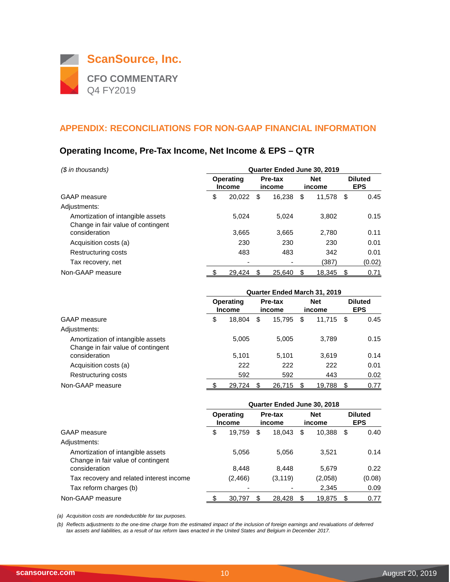

## **Operating Income, Pre-Tax Income, Net Income & EPS – QTR**

| (\$ in thousands)                                                       | Quarter Ended June 30, 2019       |        |                   |        |                      |        |      |        |  |  |                              |  |
|-------------------------------------------------------------------------|-----------------------------------|--------|-------------------|--------|----------------------|--------|------|--------|--|--|------------------------------|--|
|                                                                         | <b>Operating</b><br><b>Income</b> |        | Pre-tax<br>income |        | <b>Net</b><br>income |        |      |        |  |  | <b>Diluted</b><br><b>EPS</b> |  |
| <b>GAAP</b> measure                                                     | \$                                | 20.022 | \$                | 16.238 | \$                   | 11,578 | - \$ | 0.45   |  |  |                              |  |
| Adjustments:                                                            |                                   |        |                   |        |                      |        |      |        |  |  |                              |  |
| Amortization of intangible assets<br>Change in fair value of contingent |                                   | 5.024  |                   | 5.024  |                      | 3.802  |      | 0.15   |  |  |                              |  |
| consideration                                                           |                                   | 3,665  |                   | 3.665  |                      | 2.780  |      | 0.11   |  |  |                              |  |
| Acquisition costs (a)                                                   |                                   | 230    |                   | 230    |                      | 230    |      | 0.01   |  |  |                              |  |
| Restructuring costs                                                     |                                   | 483    |                   | 483    |                      | 342    |      | 0.01   |  |  |                              |  |
| Tax recovery, net                                                       |                                   |        |                   |        |                      | (387)  |      | (0.02) |  |  |                              |  |
| Non-GAAP measure                                                        |                                   | 29,424 | S                 | 25,640 | S                    | 18,345 | S    | 0.71   |  |  |                              |  |

|                                                                         |    | <b>Quarter Ended March 31, 2019</b> |    |                          |    |                      |      |                              |  |
|-------------------------------------------------------------------------|----|-------------------------------------|----|--------------------------|----|----------------------|------|------------------------------|--|
|                                                                         |    | <b>Operating</b><br><b>Income</b>   |    | <b>Pre-tax</b><br>income |    | <b>Net</b><br>income |      | <b>Diluted</b><br><b>EPS</b> |  |
| <b>GAAP</b> measure                                                     | \$ | 18,804                              | \$ | 15,795                   | S  | 11,715               | - \$ | 0.45                         |  |
| Adjustments:                                                            |    |                                     |    |                          |    |                      |      |                              |  |
| Amortization of intangible assets<br>Change in fair value of contingent |    | 5,005                               |    | 5,005                    |    | 3,789                |      | 0.15                         |  |
| consideration                                                           |    | 5,101                               |    | 5.101                    |    | 3.619                |      | 0.14                         |  |
| Acquisition costs (a)                                                   |    | 222                                 |    | 222                      |    | 222                  |      | 0.01                         |  |
| Restructuring costs                                                     |    | 592                                 |    | 592                      |    | 443                  |      | 0.02                         |  |
| Non-GAAP measure                                                        |    | 29.724                              | S  | 26.715                   | \$ | 19.788               | - \$ | 0.77                         |  |

|                                                                         | Quarter Ended June 30, 2018 |                                   |                   |          |                      |         |                              |        |
|-------------------------------------------------------------------------|-----------------------------|-----------------------------------|-------------------|----------|----------------------|---------|------------------------------|--------|
|                                                                         |                             | <b>Operating</b><br><b>Income</b> | Pre-tax<br>income |          | <b>Net</b><br>income |         | <b>Diluted</b><br><b>EPS</b> |        |
| GAAP measure                                                            | \$                          | 19,759                            | \$                | 18.043   | S                    | 10,388  | - \$                         | 0.40   |
| Adjustments:                                                            |                             |                                   |                   |          |                      |         |                              |        |
| Amortization of intangible assets<br>Change in fair value of contingent |                             | 5,056                             |                   | 5,056    |                      | 3,521   |                              | 0.14   |
| consideration                                                           |                             | 8.448                             |                   | 8,448    |                      | 5,679   |                              | 0.22   |
| Tax recovery and related interest income                                |                             | (2, 466)                          |                   | (3, 119) |                      | (2,058) |                              | (0.08) |
| Tax reform charges (b)                                                  |                             |                                   |                   |          |                      | 2,345   |                              | 0.09   |
| Non-GAAP measure                                                        |                             | 30,797                            | S                 | 28,428   | \$                   | 19,875  |                              | 0.77   |

*(a) Acquisition costs are nondeductible for tax purposes.*

*(b) Reflects adjustments to the one-time charge from the estimated impact of the inclusion of foreign earnings and revaluations of deferred tax assets and liabilities, as a result of tax reform laws enacted in the United States and Belgium in December 2017.*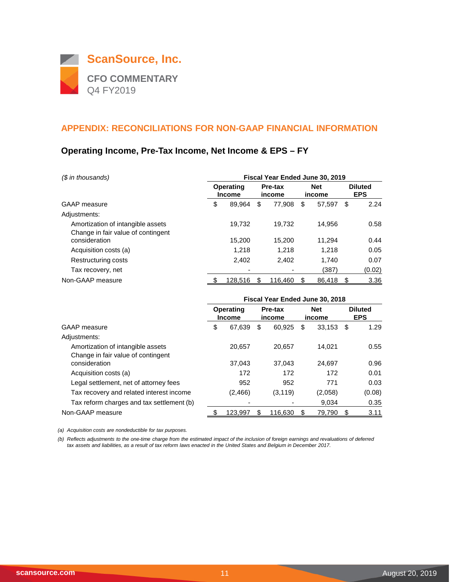

## **Operating Income, Pre-Tax Income, Net Income & EPS – FY**

| (\$ in thousands)                                                       | Fiscal Year Ended June 30, 2019                        |         |                      |         |    |        |    |        |                              |
|-------------------------------------------------------------------------|--------------------------------------------------------|---------|----------------------|---------|----|--------|----|--------|------------------------------|
|                                                                         | <b>Operating</b><br>Pre-tax<br><b>Income</b><br>income |         | <b>Net</b><br>income |         |    |        |    |        | <b>Diluted</b><br><b>EPS</b> |
| GAAP measure                                                            | \$                                                     | 89.964  | \$                   | 77.908  | \$ | 57,597 | \$ | 2.24   |                              |
| Adjustments:                                                            |                                                        |         |                      |         |    |        |    |        |                              |
| Amortization of intangible assets<br>Change in fair value of contingent |                                                        | 19.732  |                      | 19.732  |    | 14.956 |    | 0.58   |                              |
| consideration                                                           |                                                        | 15,200  |                      | 15.200  |    | 11,294 |    | 0.44   |                              |
| Acquisition costs (a)                                                   |                                                        | 1.218   |                      | 1.218   |    | 1.218  |    | 0.05   |                              |
| Restructuring costs                                                     |                                                        | 2,402   |                      | 2.402   |    | 1.740  |    | 0.07   |                              |
| Tax recovery, net                                                       |                                                        |         |                      |         |    | (387)  |    | (0.02) |                              |
| Non-GAAP measure                                                        |                                                        | 128,516 | \$.                  | 116,460 | S  | 86,418 | \$ | 3.36   |                              |

|                                                     | Fiscal Year Ended June 30, 2018 |                                                        |     |                      |    |                              |    |        |
|-----------------------------------------------------|---------------------------------|--------------------------------------------------------|-----|----------------------|----|------------------------------|----|--------|
|                                                     |                                 | <b>Operating</b><br>Pre-tax<br><b>Income</b><br>income |     | <b>Net</b><br>income |    | <b>Diluted</b><br><b>EPS</b> |    |        |
| GAAP measure                                        | \$                              | 67,639                                                 | S   | 60,925               | \$ | $33,153$ \$                  |    | 1.29   |
| Adjustments:                                        |                                 |                                                        |     |                      |    |                              |    |        |
| Amortization of intangible assets                   |                                 | 20,657                                                 |     | 20.657               |    | 14.021                       |    | 0.55   |
| Change in fair value of contingent<br>consideration |                                 | 37.043                                                 |     | 37.043               |    | 24.697                       |    | 0.96   |
| Acquisition costs (a)                               |                                 | 172                                                    |     | 172                  |    | 172                          |    | 0.01   |
| Legal settlement, net of attorney fees              |                                 | 952                                                    |     | 952                  |    | 771                          |    | 0.03   |
| Tax recovery and related interest income            |                                 | (2,466)                                                |     | (3, 119)             |    | (2,058)                      |    | (0.08) |
| Tax reform charges and tax settlement (b)           |                                 |                                                        |     |                      |    | 9.034                        |    | 0.35   |
| Non-GAAP measure                                    |                                 | 123,997                                                | \$. | 116.630              | S  | 79.790                       | \$ | 3.11   |

*(a) Acquisition costs are nondeductible for tax purposes.*

*(b) Reflects adjustments to the one-time charge from the estimated impact of the inclusion of foreign earnings and revaluations of deferred tax assets and liabilities, as a result of tax reform laws enacted in the United States and Belgium in December 2017.*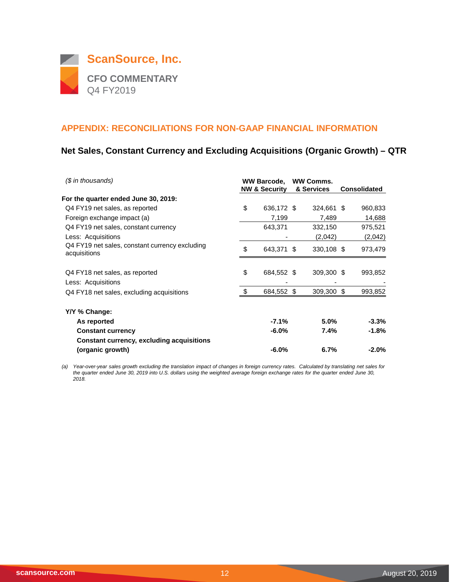

## **Net Sales, Constant Currency and Excluding Acquisitions (Organic Growth) – QTR**

| $$$ in thousands)                                                    | <b>WW Barcode,</b><br><b>NW &amp; Security</b> |            |  | <b>WW Comms.</b><br>& Services | <b>Consolidated</b> |
|----------------------------------------------------------------------|------------------------------------------------|------------|--|--------------------------------|---------------------|
| For the quarter ended June 30, 2019:                                 |                                                |            |  |                                |                     |
| Q4 FY19 net sales, as reported                                       | \$                                             | 636,172 \$ |  | 324,661 \$                     | 960,833             |
| Foreign exchange impact (a)                                          |                                                | 7,199      |  | 7,489                          | 14,688              |
| Q4 FY19 net sales, constant currency                                 |                                                | 643,371    |  | 332,150                        | 975,521             |
| Less: Acquisitions                                                   |                                                |            |  | (2,042)                        | (2,042)             |
| Q4 FY19 net sales, constant currency excluding<br>acquisitions       | \$                                             | 643,371 \$ |  | 330,108 \$                     | 973,479             |
| Q4 FY18 net sales, as reported<br>Less: Acquisitions                 | \$                                             | 684,552 \$ |  | 309,300 \$                     | 993,852             |
| Q4 FY18 net sales, excluding acquisitions                            | \$                                             | 684,552 \$ |  | 309,300 \$                     | 993,852             |
| Y/Y % Change:                                                        |                                                |            |  |                                |                     |
| As reported                                                          |                                                | $-7.1%$    |  | 5.0%                           | -3.3%               |
| <b>Constant currency</b>                                             |                                                | $-6.0\%$   |  | $7.4\%$                        | $-1.8%$             |
| <b>Constant currency, excluding acquisitions</b><br>(organic growth) |                                                | $-6.0\%$   |  | 6.7%                           | $-2.0%$             |

*(a) Year-over-year sales growth excluding the translation impact of changes in foreign currency rates. Calculated by translating net sales for*  the quarter ended June 30, 2019 into U.S. dollars using the weighted average foreign exchange rates for the quarter ended June 30, *2018.*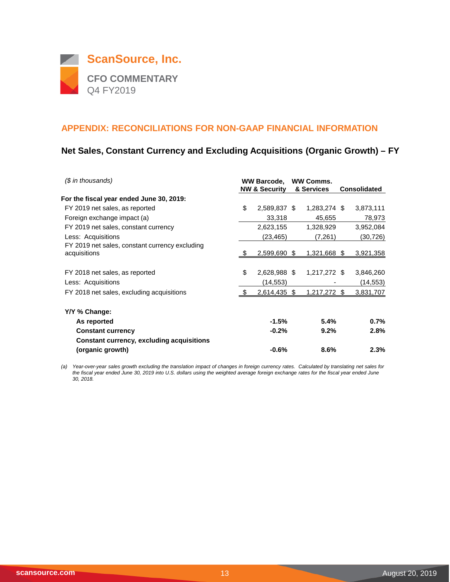

## **Net Sales, Constant Currency and Excluding Acquisitions (Organic Growth) – FY**

| (\$ in thousands)                                    | <b>WW Barcode.</b><br><b>NW &amp; Security</b> | <b>WW Comms.</b><br>& Services | <b>Consolidated</b>   |
|------------------------------------------------------|------------------------------------------------|--------------------------------|-----------------------|
| For the fiscal year ended June 30, 2019:             |                                                |                                |                       |
| FY 2019 net sales, as reported                       | \$<br>2,589,837 \$                             | 1,283,274 \$                   | 3,873,111             |
| Foreign exchange impact (a)                          | 33,318                                         | 45,655                         | 78,973                |
| FY 2019 net sales, constant currency                 | 2,623,155                                      | 1,328,929                      | 3,952,084             |
| Less: Acquisitions                                   | (23,465)                                       | (7,261)                        | (30,726)              |
| FY 2019 net sales, constant currency excluding       |                                                |                                |                       |
| acquisitions                                         | 2,599,690 \$                                   | 1,321,668 \$                   | 3,921,358             |
| FY 2018 net sales, as reported<br>Less: Acquisitions | \$<br>2,628,988 \$<br>(14,553)                 | 1,217,272 \$                   | 3,846,260<br>(14,553) |
| FY 2018 net sales, excluding acquisitions            | 2,614,435 \$                                   | 1,217,272 \$                   | 3,831,707             |
| Y/Y % Change:                                        |                                                |                                |                       |
| As reported                                          | $-1.5%$                                        | 5.4%                           | 0.7%                  |
| <b>Constant currency</b>                             | $-0.2%$                                        | 9.2%                           | 2.8%                  |
| <b>Constant currency, excluding acquisitions</b>     |                                                |                                |                       |
| (organic growth)                                     | $-0.6%$                                        | 8.6%                           | 2.3%                  |

*(a) Year-over-year sales growth excluding the translation impact of changes in foreign currency rates. Calculated by translating net sales for the fiscal year ended June 30, 2019 into U.S. dollars using the weighted average foreign exchange rates for the fiscal year ended June 30, 2018.*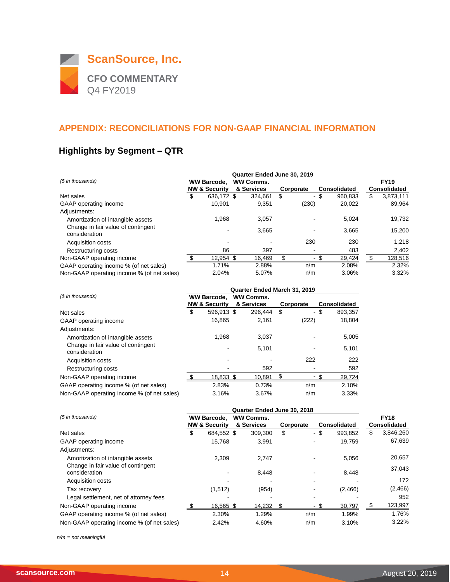

# **Highlights by Segment – QTR**

| (\$ in thousands)                                   | <b>WW Barcode.</b> |                          |  | <b>WW Comms.</b> |           |                     | <b>FY19</b>         |
|-----------------------------------------------------|--------------------|--------------------------|--|------------------|-----------|---------------------|---------------------|
|                                                     |                    | <b>NW &amp; Security</b> |  | & Services       | Corporate | <b>Consolidated</b> | <b>Consolidated</b> |
| Net sales                                           | \$                 | 636.172 \$               |  | 324.661          | \$<br>٠   | \$<br>960.833       | \$<br>3,873,111     |
| GAAP operating income                               |                    | 10.901                   |  | 9,351            | (230)     | 20,022              | 89.964              |
| Adjustments:                                        |                    |                          |  |                  |           |                     |                     |
| Amortization of intangible assets                   |                    | 1,968                    |  | 3,057            |           | 5,024               | 19,732              |
| Change in fair value of contingent<br>consideration |                    |                          |  | 3,665            |           | 3.665               | 15,200              |
| <b>Acquisition costs</b>                            |                    |                          |  |                  | 230       | 230                 | 1.218               |
| Restructuring costs                                 |                    | 86                       |  | 397              |           | 483                 | 2,402               |
| Non-GAAP operating income                           |                    | 12,954 \$                |  | 16,469           | ۰         | 29,424              | \$<br>128,516       |
| GAAP operating income % (of net sales)              |                    | 1.71%                    |  | 2.88%            | n/m       | 2.08%               | 2.32%               |
| Non-GAAP operating income % (of net sales)          |                    | 2.04%                    |  | 5.07%            | n/m       | 3.06%               | 3.32%               |

|                                                     |    | Quarter Ended March 31, 2019 |  |                  |    |           |    |                     |  |  |
|-----------------------------------------------------|----|------------------------------|--|------------------|----|-----------|----|---------------------|--|--|
| (\$ in thousands)                                   |    | <b>WW Barcode,</b>           |  | <b>WW Comms.</b> |    |           |    |                     |  |  |
|                                                     |    | <b>NW &amp; Security</b>     |  | & Services       |    | Corporate |    | <b>Consolidated</b> |  |  |
| Net sales                                           | \$ | 596.913 \$                   |  | 296.444          | \$ | $\sim$    | \$ | 893,357             |  |  |
| GAAP operating income                               |    | 16,865                       |  | 2,161            |    | (222)     |    | 18,804              |  |  |
| Adjustments:                                        |    |                              |  |                  |    |           |    |                     |  |  |
| Amortization of intangible assets                   |    | 1,968                        |  | 3,037            |    |           |    | 5,005               |  |  |
| Change in fair value of contingent<br>consideration |    |                              |  | 5,101            |    |           |    | 5,101               |  |  |
| Acquisition costs                                   |    |                              |  |                  |    | 222       |    | 222                 |  |  |
| Restructuring costs                                 |    |                              |  | 592              |    |           |    | 592                 |  |  |
| Non-GAAP operating income                           |    | 18,833 \$                    |  | 10,891           |    |           |    | 29,724              |  |  |
| GAAP operating income % (of net sales)              |    | 2.83%                        |  | 0.73%            |    | n/m       |    | 2.10%               |  |  |
| Non-GAAP operating income % (of net sales)          |    | 3.16%                        |  | 3.67%            |    | n/m       |    | 3.33%               |  |  |

|                                            | Quarter Ended June 30, 2018 |                          |  |                  |    |           |                |                     |    |                     |
|--------------------------------------------|-----------------------------|--------------------------|--|------------------|----|-----------|----------------|---------------------|----|---------------------|
| (\$ in thousands)                          | <b>WW Barcode,</b>          |                          |  | <b>WW Comms.</b> |    |           |                |                     |    | <b>FY18</b>         |
|                                            |                             | <b>NW &amp; Security</b> |  | & Services       |    | Corporate |                | <b>Consolidated</b> |    | <b>Consolidated</b> |
| Net sales                                  | \$                          | 684.552 \$               |  | 309,300          | \$ |           | - \$           | 993,852             | \$ | 3,846,260           |
| GAAP operating income                      |                             | 15,768                   |  | 3,991            |    |           | $\blacksquare$ | 19,759              |    | 67,639              |
| Adjustments:                               |                             |                          |  |                  |    |           |                |                     |    |                     |
| Amortization of intangible assets          |                             | 2.309                    |  | 2.747            |    |           |                | 5,056               |    | 20,657              |
| Change in fair value of contingent         |                             |                          |  |                  |    |           |                |                     |    | 37,043              |
| consideration                              |                             |                          |  | 8,448            |    |           |                | 8,448               |    |                     |
| <b>Acquisition costs</b>                   |                             |                          |  |                  |    |           |                |                     |    | 172                 |
| Tax recovery                               |                             | (1,512)                  |  | (954)            |    |           |                | (2,466)             |    | (2, 466)            |
| Legal settlement, net of attorney fees     |                             |                          |  |                  |    |           |                |                     |    | 952                 |
| Non-GAAP operating income                  |                             | 16,565 \$                |  | 14,232           | \$ |           | - \$<br>$\sim$ | 30,797              |    | 123,997             |
| GAAP operating income % (of net sales)     |                             | 2.30%                    |  | 1.29%            |    | n/m       |                | 1.99%               |    | 1.76%               |
| Non-GAAP operating income % (of net sales) |                             | 2.42%                    |  | 4.60%            |    | n/m       |                | 3.10%               |    | 3.22%               |

*n/m = not meaningful*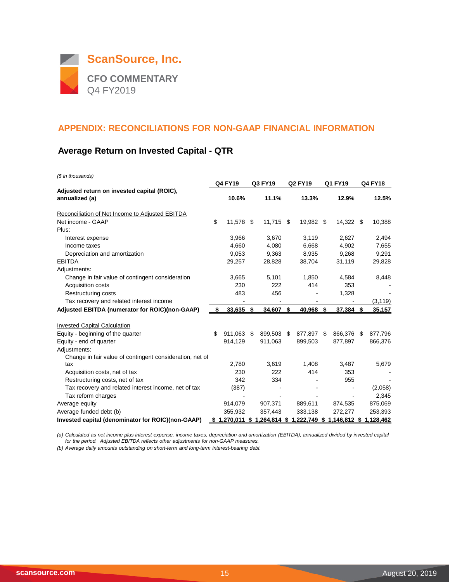

## **Average Return on Invested Capital - QTR**

*(\$ in thousands)*

|                                                               | <b>Q4 FY19</b> |           | Q3 FY19 |                                                             | <b>Q2 FY19</b> |            | Q1 FY19 |            | Q4 FY18 |          |
|---------------------------------------------------------------|----------------|-----------|---------|-------------------------------------------------------------|----------------|------------|---------|------------|---------|----------|
| Adjusted return on invested capital (ROIC),<br>annualized (a) |                | 10.6%     |         | 11.1%                                                       |                | 13.3%      |         | 12.9%      |         | 12.5%    |
| Reconciliation of Net Income to Adjusted EBITDA               |                |           |         |                                                             |                |            |         |            |         |          |
| Net income - GAAP                                             | \$             | 11,578    | - \$    | $11,715$ \$                                                 |                | 19,982 \$  |         | 14,322 \$  |         | 10,388   |
| Plus:                                                         |                |           |         |                                                             |                |            |         |            |         |          |
| Interest expense                                              |                | 3,966     |         | 3,670                                                       |                | 3,119      |         | 2,627      |         | 2,494    |
| Income taxes                                                  |                | 4.660     |         | 4,080                                                       |                | 6,668      |         | 4,902      |         | 7,655    |
| Depreciation and amortization                                 |                | 9,053     |         | 9,363                                                       |                | 8,935      |         | 9,268      |         | 9,291    |
| <b>EBITDA</b>                                                 |                | 29,257    |         | 28,828                                                      |                | 38,704     |         | 31,119     |         | 29,828   |
| Adjustments:                                                  |                |           |         |                                                             |                |            |         |            |         |          |
| Change in fair value of contingent consideration              |                | 3,665     |         | 5,101                                                       |                | 1,850      |         | 4,584      |         | 8,448    |
| Acquisition costs                                             |                | 230       |         | 222                                                         |                | 414        |         | 353        |         |          |
| Restructuring costs                                           |                | 483       |         | 456                                                         |                |            |         | 1,328      |         |          |
| Tax recovery and related interest income                      |                |           |         |                                                             |                |            |         |            |         | (3, 119) |
| Adjusted EBITDA (numerator for ROIC)(non-GAAP)                | S              | 33,635 \$ |         | $34,607$ \$                                                 |                | 40,968 \$  |         | 37,384 \$  |         | 35,157   |
|                                                               |                |           |         |                                                             |                |            |         |            |         |          |
| <b>Invested Capital Calculation</b>                           |                |           |         |                                                             |                |            |         |            |         |          |
| Equity - beginning of the quarter                             | \$             | 911.063   | \$      | 899,503                                                     | \$.            | 877,897 \$ |         | 866,376 \$ |         | 877,796  |
| Equity - end of quarter                                       |                | 914,129   |         | 911,063                                                     |                | 899,503    |         | 877,897    |         | 866,376  |
| Adjustments:                                                  |                |           |         |                                                             |                |            |         |            |         |          |
| Change in fair value of contingent consideration, net of      |                |           |         |                                                             |                |            |         |            |         |          |
| tax                                                           |                | 2,780     |         | 3,619                                                       |                | 1,408      |         | 3,487      |         | 5,679    |
| Acquisition costs, net of tax                                 |                | 230       |         | 222                                                         |                | 414        |         | 353        |         |          |
| Restructuring costs, net of tax                               |                | 342       |         | 334                                                         |                |            |         | 955        |         |          |
| Tax recovery and related interest income, net of tax          |                | (387)     |         |                                                             |                |            |         |            |         | (2,058)  |
| Tax reform charges                                            |                |           |         |                                                             |                |            |         |            |         | 2,345    |
| Average equity                                                |                | 914,079   |         | 907,371                                                     |                | 889,611    |         | 874,535    |         | 875,069  |
| Average funded debt (b)                                       |                | 355,932   |         | 357,443                                                     |                | 333,138    |         | 272,277    |         | 253,393  |
| Invested capital (denominator for ROIC)(non-GAAP)             |                |           |         | \$1,270,011 \$1,264,814 \$1,222,749 \$1,146,812 \$1,128,462 |                |            |         |            |         |          |

*(a) Calculated as net income plus interest expense, income taxes, depreciation and amortization (EBITDA), annualized divided by invested capital for the period. Adjusted EBITDA reflects other adjustments for non-GAAP measures.*

*(b) Average daily amounts outstanding on short-term and long-term interest-bearing debt.*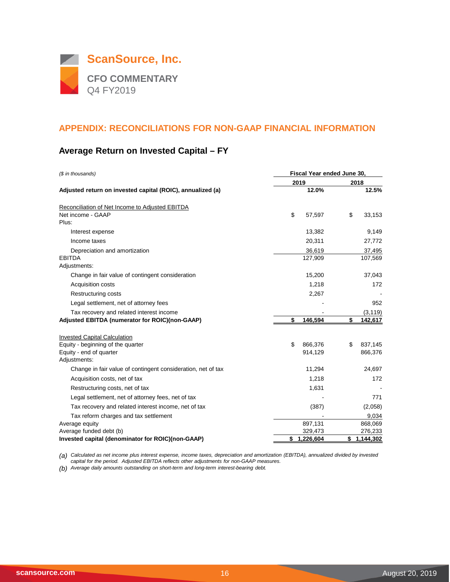

## **Average Return on Invested Capital – FY**

| (\$ in thousands)                                            | Fiscal Year ended June 30. |      |           |  |  |  |  |  |  |
|--------------------------------------------------------------|----------------------------|------|-----------|--|--|--|--|--|--|
|                                                              | 2019                       | 2018 |           |  |  |  |  |  |  |
| Adjusted return on invested capital (ROIC), annualized (a)   | 12.0%                      |      | 12.5%     |  |  |  |  |  |  |
| Reconciliation of Net Income to Adjusted EBITDA              |                            |      |           |  |  |  |  |  |  |
| Net income - GAAP                                            | \$<br>57,597               | \$   | 33,153    |  |  |  |  |  |  |
| Plus:                                                        |                            |      |           |  |  |  |  |  |  |
| Interest expense                                             | 13,382                     |      | 9,149     |  |  |  |  |  |  |
| Income taxes                                                 | 20,311                     |      | 27,772    |  |  |  |  |  |  |
| Depreciation and amortization                                | 36,619                     |      | 37,495    |  |  |  |  |  |  |
| <b>EBITDA</b>                                                | 127,909                    |      | 107,569   |  |  |  |  |  |  |
| Adjustments:                                                 |                            |      |           |  |  |  |  |  |  |
| Change in fair value of contingent consideration             | 15,200                     |      | 37,043    |  |  |  |  |  |  |
| <b>Acquisition costs</b>                                     | 1,218                      |      | 172       |  |  |  |  |  |  |
| <b>Restructuring costs</b>                                   | 2,267                      |      |           |  |  |  |  |  |  |
| Legal settlement, net of attorney fees                       |                            |      | 952       |  |  |  |  |  |  |
| Tax recovery and related interest income                     |                            |      | (3, 119)  |  |  |  |  |  |  |
| Adjusted EBITDA (numerator for ROIC)(non-GAAP)               | \$<br>146,594              | \$   | 142,617   |  |  |  |  |  |  |
|                                                              |                            |      |           |  |  |  |  |  |  |
| <b>Invested Capital Calculation</b>                          |                            |      |           |  |  |  |  |  |  |
| Equity - beginning of the quarter                            | \$<br>866,376              | \$   | 837,145   |  |  |  |  |  |  |
| Equity - end of quarter<br>Adjustments:                      | 914,129                    |      | 866,376   |  |  |  |  |  |  |
| Change in fair value of contingent consideration, net of tax | 11,294                     |      | 24,697    |  |  |  |  |  |  |
| Acquisition costs, net of tax                                | 1,218                      |      | 172       |  |  |  |  |  |  |
|                                                              |                            |      |           |  |  |  |  |  |  |
| Restructuring costs, net of tax                              | 1,631                      |      |           |  |  |  |  |  |  |
| Legal settlement, net of attorney fees, net of tax           |                            |      | 771       |  |  |  |  |  |  |
| Tax recovery and related interest income, net of tax         | (387)                      |      | (2,058)   |  |  |  |  |  |  |
| Tax reform charges and tax settlement                        |                            |      | 9,034     |  |  |  |  |  |  |
| Average equity                                               | 897,131                    |      | 868,069   |  |  |  |  |  |  |
| Average funded debt (b)                                      | 329,473                    |      | 276,233   |  |  |  |  |  |  |
| Invested capital (denominator for ROIC)(non-GAAP)            | \$<br>1,226,604            | \$   | 1,144,302 |  |  |  |  |  |  |

*(a) Calculated as net income plus interest expense, income taxes, depreciation and amortization (EBITDA), annualized divided by invested capital for the period. Adjusted EBITDA reflects other adjustments for non-GAAP measures.*

*(b) Average daily amounts outstanding on short-term and long-term interest-bearing debt.*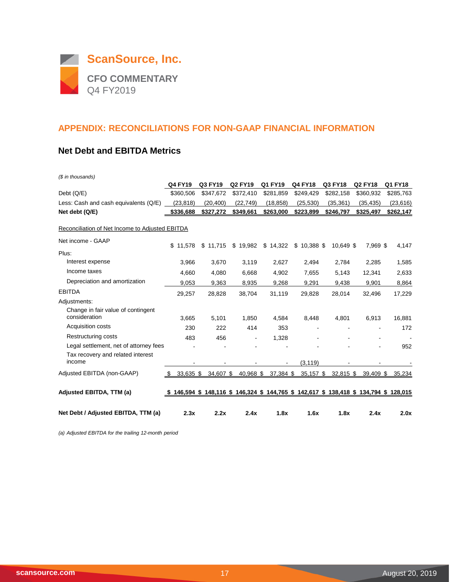

#### **Net Debt and EBITDA Metrics**

| (\$ in thousands)                                                           |                  |           |                |           |                                                                                         |             |                |           |
|-----------------------------------------------------------------------------|------------------|-----------|----------------|-----------|-----------------------------------------------------------------------------------------|-------------|----------------|-----------|
|                                                                             | <b>Q4 FY19</b>   | Q3 FY19   | <b>Q2 FY19</b> | Q1 FY19   | <b>Q4 FY18</b>                                                                          | Q3 FY18     | <b>Q2 FY18</b> | Q1 FY18   |
| Debt $(Q/E)$                                                                | \$360,506        | \$347,672 | \$372,410      | \$281,859 | \$249,429                                                                               | \$282,158   | \$360,932      | \$285,763 |
| Less: Cash and cash equivalents (Q/E)                                       | (23, 818)        | (20, 400) | (22, 749)      | (18, 858) | (25, 530)                                                                               | (35, 361)   | (35, 435)      | (23, 616) |
| Net debt (Q/E)                                                              | \$336,688        | \$327,272 | \$349,661      | \$263,000 | \$223,899                                                                               | \$246,797   | \$325,497      | \$262,147 |
| Reconciliation of Net Income to Adjusted EBITDA                             |                  |           |                |           |                                                                                         |             |                |           |
| Net income - GAAP                                                           | \$11.578         | \$11,715  | \$19,982       | \$14,322  | $$10,388$ \$                                                                            | 10,649 \$   | 7,969 \$       | 4,147     |
| Plus:                                                                       |                  |           |                |           |                                                                                         |             |                |           |
| Interest expense                                                            | 3,966            | 3,670     | 3,119          | 2,627     | 2,494                                                                                   | 2,784       | 2,285          | 1,585     |
| Income taxes                                                                | 4,660            | 4,080     | 6,668          | 4,902     | 7,655                                                                                   | 5,143       | 12,341         | 2,633     |
| Depreciation and amortization                                               | 9,053            | 9,363     | 8,935          | 9,268     | 9,291                                                                                   | 9,438       | 9,901          | 8,864     |
| <b>EBITDA</b>                                                               | 29,257           | 28,828    | 38,704         | 31,119    | 29,828                                                                                  | 28,014      | 32,496         | 17,229    |
| Adjustments:                                                                |                  |           |                |           |                                                                                         |             |                |           |
| Change in fair value of contingent<br>consideration                         | 3,665            | 5,101     | 1,850          | 4,584     | 8,448                                                                                   | 4,801       | 6,913          | 16,881    |
| Acquisition costs                                                           | 230              | 222       | 414            | 353       |                                                                                         |             |                | 172       |
| <b>Restructuring costs</b>                                                  | 483              | 456       |                | 1,328     |                                                                                         |             |                |           |
| Legal settlement, net of attorney fees<br>Tax recovery and related interest |                  |           |                |           |                                                                                         |             |                | 952       |
| income                                                                      |                  |           |                |           | (3, 119)                                                                                |             |                |           |
| Adjusted EBITDA (non-GAAP)                                                  | 33,635 \$<br>\$. | 34,607 \$ | 40,968 \$      | 37,384 \$ | 35,157 \$                                                                               | $32,815$ \$ | $39,409$ \$    | 35,234    |
| Adjusted EBITDA, TTM (a)                                                    |                  |           |                |           | \$ 146,594 \$ 148,116 \$ 146,324 \$ 144,765 \$ 142,617 \$ 138,418 \$ 134,794 \$ 128,015 |             |                |           |
| Net Debt / Adjusted EBITDA, TTM (a)                                         | 2.3x             | 2.2x      | 2.4x           | 1.8x      | 1.6x                                                                                    | 1.8x        | 2.4x           | 2.0x      |

*(a) Adjusted EBITDA for the trailing 12-month period*